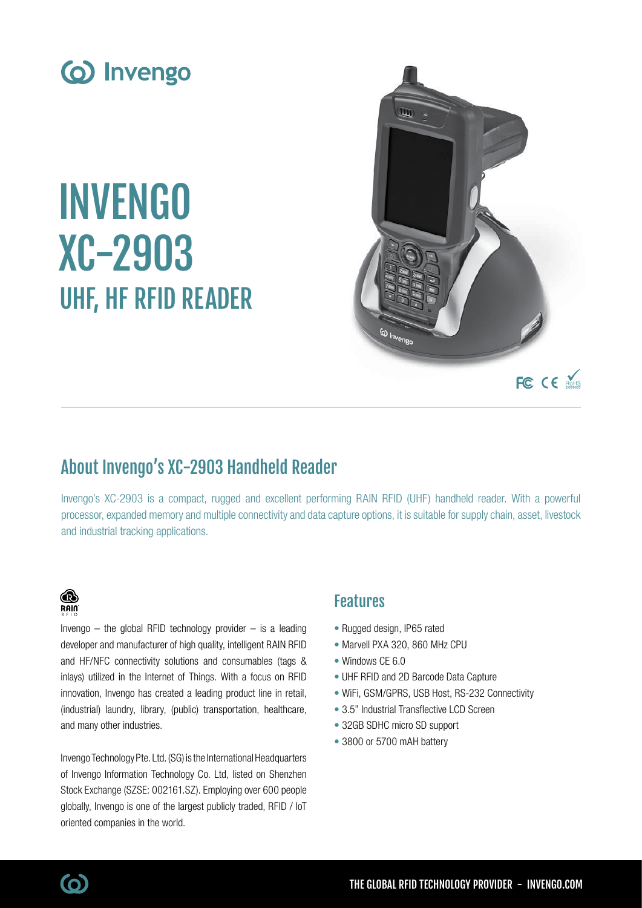

# INVENGO XC-2903 UHF, HF RFID READER



# About Invengo's XC-2903 Handheld Reader

Invengo's XC-2903 is a compact, rugged and excellent performing RAIN RFID (UHF) handheld reader. With a powerful processor, expanded memory and multiple connectivity and data capture options, it is suitable for supply chain, asset, livestock and industrial tracking applications.

### ⋒  $R$ ain

Invengo  $-$  the global RFID technology provider  $-$  is a leading developer and manufacturer of high quality, intelligent RAIN RFID and HF/NFC connectivity solutions and consumables (tags & inlays) utilized in the Internet of Things. With a focus on RFID innovation, Invengo has created a leading product line in retail, (industrial) laundry, library, (public) transportation, healthcare, and many other industries.

Invengo Technology Pte. Ltd. (SG) is the International Headquarters of Invengo Information Technology Co. Ltd, listed on Shenzhen Stock Exchange (SZSE: 002161.SZ). Employing over 600 people globally, Invengo is one of the largest publicly traded, RFID / IoT oriented companies in the world.

## Features

- Rugged design, IP65 rated
- Marvell PXA 320, 860 MHz CPU
- Windows CE 6.0
- UHF RFID and 2D Barcode Data Capture
- WiFi, GSM/GPRS, USB Host, RS-232 Connectivity
- 3.5" Industrial Transflective LCD Screen
- 32GB SDHC micro SD support
- 3800 or 5700 mAH battery